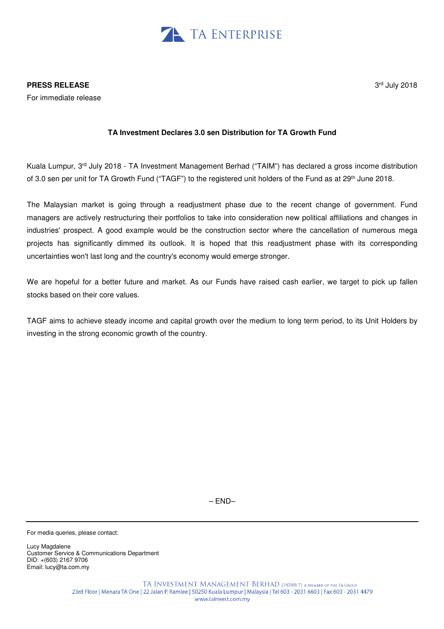

For immediate release

## **TA Investment Declares 3.0 sen Distribution for TA Growth Fund**

Kuala Lumpur, 3rd July 2018 - TA Investment Management Berhad ("TAIM") has declared a gross income distribution of 3.0 sen per unit for TA Growth Fund ("TAGF") to the registered unit holders of the Fund as at 29<sup>th</sup> June 2018.

The Malaysian market is going through a readjustment phase due to the recent change of government. Fund managers are actively restructuring their portfolios to take into consideration new political affiliations and changes in industries' prospect. A good example would be the construction sector where the cancellation of numerous mega projects has significantly dimmed its outlook. It is hoped that this readjustment phase with its corresponding uncertainties won't last long and the country's economy would emerge stronger.

We are hopeful for a better future and market. As our Funds have raised cash earlier, we target to pick up fallen stocks based on their core values.

TAGF aims to achieve steady income and capital growth over the medium to long term period, to its Unit Holders by investing in the strong economic growth of the country.

– END–

For media queries, please contact:

Lucy Magdalene Customer Service & Communications Department DID: +(603) 2167 9706 Email: lucy@ta.com.my